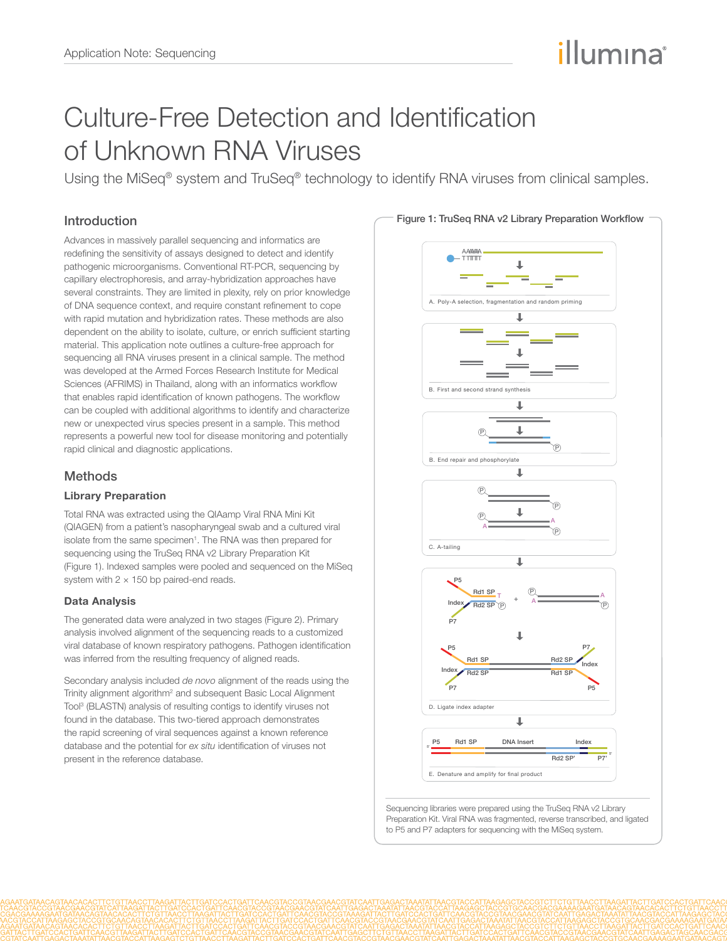# illumına

## Culture-Free Detection and Identification of Unknown RNA Viruses

Using the MiSeq<sup>®</sup> system and TruSeq<sup>®</sup> technology to identify RNA viruses from clinical samples.

### Introduction

Advances in massively parallel sequencing and informatics are redefining the sensitivity of assays designed to detect and identify pathogenic microorganisms. Conventional RT-PCR, sequencing by capillary electrophoresis, and array-hybridization approaches have several constraints. They are limited in plexity, rely on prior knowledge of DNA sequence context, and require constant refinement to cope with rapid mutation and hybridization rates. These methods are also dependent on the ability to isolate, culture, or enrich sufficient starting material. This application note outlines a culture-free approach for sequencing all RNA viruses present in a clinical sample. The method was developed at the Armed Forces Research Institute for Medical Sciences (AFRIMS) in Thailand, along with an informatics workflow that enables rapid identification of known pathogens. The workflow can be coupled with additional algorithms to identify and characterize new or unexpected virus species present in a sample. This method represents a powerful new tool for disease monitoring and potentially rapid clinical and diagnostic applications.

### **Methods**

#### Library Preparation

Total RNA was extracted using the QIAamp Viral RNA Mini Kit (QIAGEN) from a patient's nasopharyngeal swab and a cultured viral isolate from the same specimen<sup>1</sup>. The RNA was then prepared for sequencing using the TruSeq RNA v2 Library Preparation Kit (Figure 1). Indexed samples were pooled and sequenced on the MiSeq system with  $2 \times 150$  bp paired-end reads.

#### Data Analysis

The generated data were analyzed in two stages (Figure 2). Primary analysis involved alignment of the sequencing reads to a customized viral database of known respiratory pathogens. Pathogen identification was inferred from the resulting frequency of aligned reads.

Secondary analysis included *de novo* alignment of the reads using the Trinity alignment algorithm<sup>2</sup> and subsequent Basic Local Alignment Tool3 (BLASTN) analysis of resulting contigs to identify viruses not found in the database. This two-tiered approach demonstrates the rapid screening of viral sequences against a known reference database and the potential for *ex situ* identification of viruses not present in the reference database.



Sequencing libraries were prepared using the TruSeq RNA v2 Library Preparation Kit. Viral RNA was fragmented, reverse transcribed, and ligated to P5 and P7 adapters for sequencing with the MiSeq system.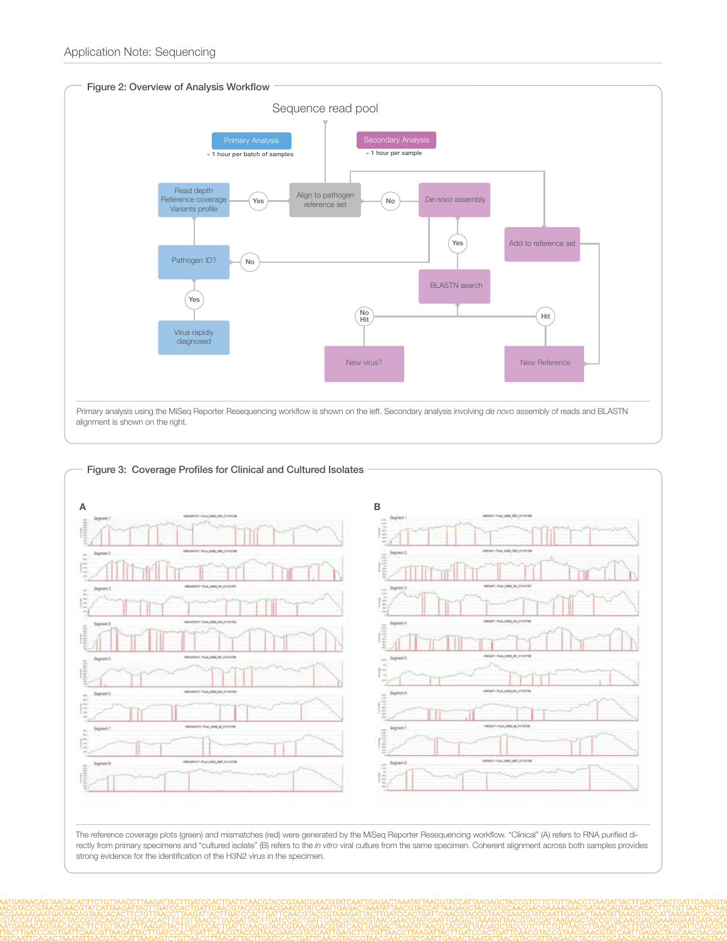

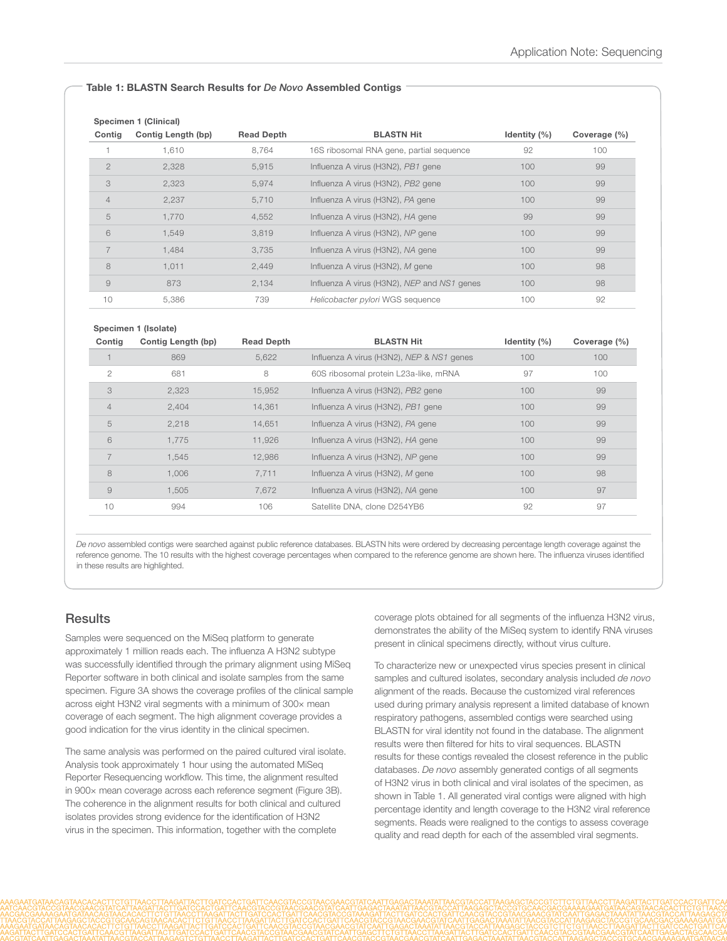#### Table 1: BLASTN Search Results for *De Novo* Assembled Contigs

| Specimen 1 (Clinical) |                    |                   |                                             |              |              |  |  |  |
|-----------------------|--------------------|-------------------|---------------------------------------------|--------------|--------------|--|--|--|
| Contig                | Contig Length (bp) | <b>Read Depth</b> | <b>BLASTN Hit</b>                           | Identity (%) | Coverage (%) |  |  |  |
|                       | 1.610              | 8,764             | 16S ribosomal RNA gene, partial sequence    | 92           | 100          |  |  |  |
| $\mathfrak{D}$        | 2,328              | 5,915             | Influenza A virus (H3N2), PB1 gene          | 100          | 99           |  |  |  |
| 3                     | 2,323              | 5,974             | Influenza A virus (H3N2), PB2 gene          | 100          | 99           |  |  |  |
| $\overline{4}$        | 2.237              | 5.710             | Influenza A virus (H3N2), PA gene           | 100          | 99           |  |  |  |
| 5                     | 1,770              | 4,552             | Influenza A virus (H3N2), HA gene           | 99           | 99           |  |  |  |
| 6                     | 1.549              | 3,819             | Influenza A virus (H3N2), NP gene           | 100          | 99           |  |  |  |
|                       | 1.484              | 3,735             | Influenza A virus (H3N2), NA gene           | 100          | 99           |  |  |  |
| 8                     | 1.011              | 2,449             | Influenza A virus (H3N2), M gene            | 100          | 98           |  |  |  |
| 9                     | 873                | 2,134             | Influenza A virus (H3N2), NEP and NS1 genes | 100          | 98           |  |  |  |
| 10                    | 5,386              | 739               | Helicobacter pylori WGS sequence            | 100          | 92           |  |  |  |

| Specimen 1 (Isolate) |                    |                   |                                           |                |              |  |  |  |
|----------------------|--------------------|-------------------|-------------------------------------------|----------------|--------------|--|--|--|
| Contig               | Contig Length (bp) | <b>Read Depth</b> | <b>BLASTN Hit</b>                         | Identity $(%)$ | Coverage (%) |  |  |  |
|                      | 869                | 5,622             | Influenza A virus (H3N2), NEP & NS1 genes | 100            | 100          |  |  |  |
| $\overline{c}$       | 681                | 8                 | 60S ribosomal protein L23a-like, mRNA     | 97             | 100          |  |  |  |
| 3                    | 2,323              | 15,952            | Influenza A virus (H3N2), PB2 gene        | 100            | 99           |  |  |  |
| $\overline{4}$       | 2,404              | 14,361            | Influenza A virus (H3N2), PB1 gene        | 100            | 99           |  |  |  |
| 5                    | 2,218              | 14,651            | Influenza A virus (H3N2), PA gene         | 100            | 99           |  |  |  |
| 6                    | 1.775              | 11,926            | Influenza A virus (H3N2), HA gene         | 100            | 99           |  |  |  |
|                      | 1,545              | 12,986            | Influenza A virus (H3N2), NP gene         | 100            | 99           |  |  |  |
| 8                    | 1.006              | 7.711             | Influenza A virus (H3N2), M gene          | 100            | 98           |  |  |  |
| 9                    | 1.505              | 7.672             | Influenza A virus (H3N2), NA gene         | 100            | 97           |  |  |  |
| 10                   | 994                | 106               | Satellite DNA, clone D254YB6              | 92             | 97           |  |  |  |
|                      |                    |                   |                                           |                |              |  |  |  |

*De novo* assembled contigs were searched against public reference databases. BLASTN hits were ordered by decreasing percentage length coverage against the reference genome. The 10 results with the highest coverage percentages when compared to the reference genome are shown here. The influenza viruses identified in these results are highlighted.

#### **Results**

Samples were sequenced on the MiSeq platform to generate approximately 1 million reads each. The influenza A H3N2 subtype was successfully identified through the primary alignment using MiSeq Reporter software in both clinical and isolate samples from the same specimen. Figure 3A shows the coverage profiles of the clinical sample across eight H3N2 viral segments with a minimum of 300× mean coverage of each segment. The high alignment coverage provides a good indication for the virus identity in the clinical specimen.

The same analysis was performed on the paired cultured viral isolate. Analysis took approximately 1 hour using the automated MiSeq Reporter Resequencing workflow. This time, the alignment resulted in 900× mean coverage across each reference segment (Figure 3B). The coherence in the alignment results for both clinical and cultured isolates provides strong evidence for the identification of H3N2 virus in the specimen. This information, together with the complete

coverage plots obtained for all segments of the influenza H3N2 virus, demonstrates the ability of the MiSeq system to identify RNA viruses present in clinical specimens directly, without virus culture.

To characterize new or unexpected virus species present in clinical samples and cultured isolates, secondary analysis included *de novo* alignment of the reads. Because the customized viral references used during primary analysis represent a limited database of known respiratory pathogens, assembled contigs were searched using BLASTN for viral identity not found in the database. The alignment results were then filtered for hits to viral sequences. BLASTN results for these contigs revealed the closest reference in the public databases. *De novo* assembly generated contigs of all segments of H3N2 virus in both clinical and viral isolates of the specimen, as shown in Table 1. All generated viral contigs were aligned with high percentage identity and length coverage to the H3N2 viral reference segments. Reads were realigned to the contigs to assess coverage quality and read depth for each of the assembled viral segments.